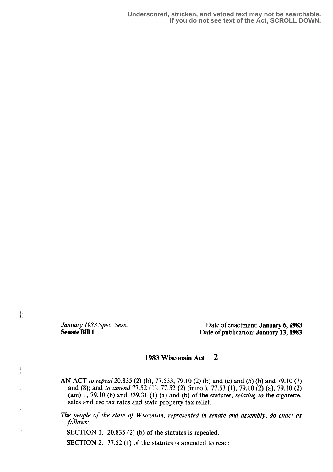**Underscored, stricken, and vetoed text may not be searchable. If you do not see text of the Act, SCROLL DOWN.**

 $\frac{1}{2}$ 

Î

January 1983 Spec. Sess.<br>
Senate Bill 1<br>
Date of publication: January 13, 1983 Date of publication: January 13, 1983

## 1983 Wisconsin Act 2

- AN ACT to repeal 20.835 (2) (b), 77.533, 79.10 (2) (b) and (c) and (5) (b) and 79.10 (7) and (8); and to amend 77 .52 (1), 77.52 (2) (intro .), 77.53 (1), 79.10 (2) (a), 79.10 (2)  $(am)$  1, 79.10 (6) and 139.31 (1) (a) and (b) of the statutes, *relating to* the cigarette, sales and use tax rates and state property tax relief.
- The people of the state of Wisconsin, represented in senate and assembly, do enact as follows:

SECTION 1. 20.835 (2) (b) of the statutes is repealed.

SECTION 2. 77.52 (1) of the statutes is amended to read: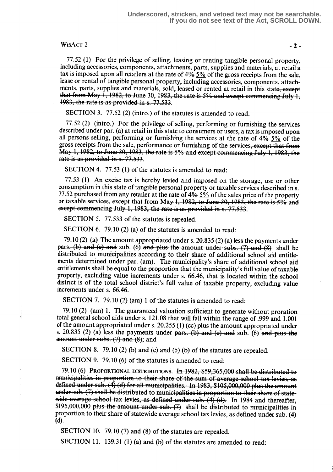## $WisACT 2$  -2-

77.52 (1) For the privilege of selling, leasing or renting tangible personal property, including accessories, components, attachments, parts, supplies and materials, at retail a tax is imposed upon all retailers at the rate of 4% 5% of the gross receipts from the sale, lease or rental of tangible personal property, including accessories, components, attachments, parts, supplies and materials, sold, leased or rented at retail in this state, except that from May 1, 1982, to June 30, 1983, the rate is 5% and except commencing July  $1$ ,  $1983$ , the rate is as provided in s. 77.533.

SECTION 3. 77.52 (2) (intro.) of the statutes is amended to read:

77.52 (2) (intro.) For the privilege of selling, performing or furnishing the services described under par. (a) at retail in this state to consumers or users, a tax is imposed upon all persons selling, performing or furnishing the services at the rate of  $4\frac{4}{6}$   $5\frac{6}{6}$  of the gross receipts from the sale, performance or furnishing of the services, except that from May 1, 1982, to June 30, 1983, the rate is  $5\%$  and except commeneing July 1, 1983, the rate is as provided in s. 77.533.

SECTION 4. 77.53 (1) of the statutes is amended to read:

<sup>77</sup> .53 (1) An excise tax is hereby levied and imposed on the storage, use or other consumption in this state of tangible personal property or taxable services described in s. consumption in this state or tanglete personal property or taxable services described in s.<br>77.52 purchased from any retailer at the rate of 4% <u>5%</u> of the sales price of the property<br>or taxable services, except that from  $\frac{3}{2}$ . The set of the set of the set of the set of the set of the set of the set of the set of the set of the set of the set of the set of the set of the set of the set of the set of the set of the set of the set of t

SECTION 5. 77.533 of the statutes is repealed.

SECTION 6. 79.10 (2) (a) of the statutes is amended to read:

79.10 (2) (a) The amount appropriated under s. 20.835 (2) (a) less the payments under  $parts.$  (b) and (c) and sub. (6) and plus the amount under subs. (7) and (8) shall be distributed to municipalities according to their share of additional school aid entitlements determined under par. (am). The municipality's share of additional school aid entitlements shall be equal to the proportion that the municipality's full value of taxable property, excluding value increments under s. 66.46, that is located within the school district is of the total school district's full value of taxable property, excluding value increments under s. 66.46.

SECTION 7. 79.10 (2) (am) 1 of the statutes is amended to read:

79.10 (2) (am) 1. The guaranteed valuation sufficient to generate without proration total general school aids under s. 121 .08 that will fall within the range of .999 and 1 .001 of the amount appropriated under s. 20.255 (1) (cc) plus the amount appropriated under s. 20.835 (2) (a) less the payments under  $\frac{pars}{r}$ . (b) and (c) and sub. (6) and plus the amount under subs.  $(7)$  and  $(8)$ ; and

SECTION 8. 79.10 (2) (b) and (c) and (5) (b) of the statutes are repealed.

SECTION 9. 79.10 (6) of the statutes is amended to read:

79.10 (6) PROPORTIONAL DISTRIBUTIONS. In  $1982, $59,365,000$  shall be distributed to municipalities in proportion to their share of the sum of average school tax levies, defined under sub. (4) (d) for all municipalities. In 1983, \$105,000,000 plus the amount under sub. (7) shall be distributed to municipalities in proportion to their share of statewide average school tax levies, as defined under sub.  $(4)$   $(d)$ . In 1984 and thereafter, \$195,000,000 plus the amount under sub.  $(7)$  shall be distributed to municipalities in proportion to their share of statewide average school tax levies, as defined under sub. (4) (d).

SECTION 10. 79.10 (7) and (8) of the statutes are repealed.

SECTION 11. 139.31 (1) (a) and (b) of the statutes are amended to read: